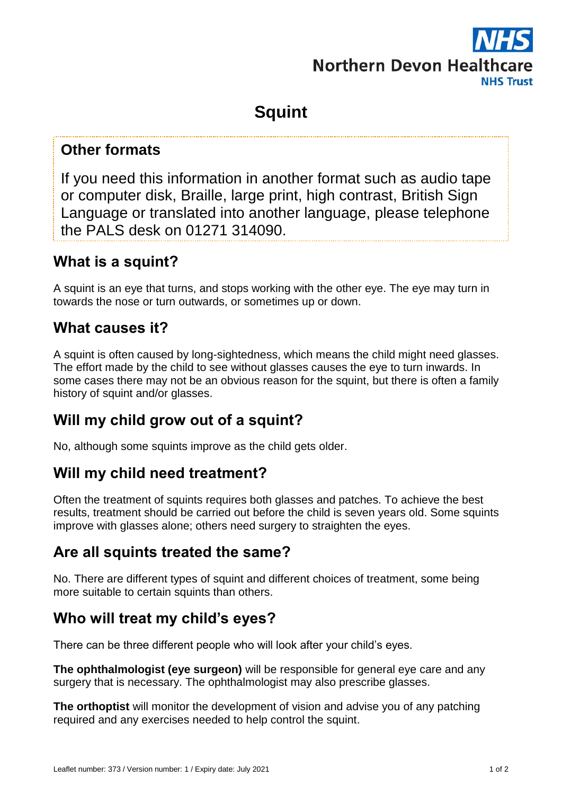# **Northern Devon Healtho NHS Trust**

## **Squint**

#### **Other formats**

If you need this information in another format such as audio tape or computer disk, Braille, large print, high contrast, British Sign Language or translated into another language, please telephone the PALS desk on 01271 314090.

#### **What is a squint?**

A squint is an eye that turns, and stops working with the other eye. The eye may turn in towards the nose or turn outwards, or sometimes up or down.

#### **What causes it?**

A squint is often caused by long-sightedness, which means the child might need glasses. The effort made by the child to see without glasses causes the eye to turn inwards. In some cases there may not be an obvious reason for the squint, but there is often a family history of squint and/or glasses.

## **Will my child grow out of a squint?**

No, although some squints improve as the child gets older.

## **Will my child need treatment?**

Often the treatment of squints requires both glasses and patches. To achieve the best results, treatment should be carried out before the child is seven years old. Some squints improve with glasses alone; others need surgery to straighten the eyes.

## **Are all squints treated the same?**

No. There are different types of squint and different choices of treatment, some being more suitable to certain squints than others.

## **Who will treat my child's eyes?**

There can be three different people who will look after your child's eyes.

**The ophthalmologist (eye surgeon)** will be responsible for general eye care and any surgery that is necessary. The ophthalmologist may also prescribe glasses.

**The orthoptist** will monitor the development of vision and advise you of any patching required and any exercises needed to help control the squint.